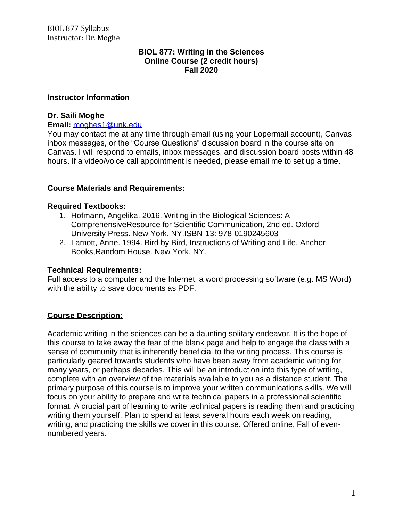#### **BIOL 877: Writing in the Sciences Online Course (2 credit hours) Fall 2020**

#### **Instructor Information**

## **Dr. Saili Moghe**

#### **Email:** [moghes1@unk.edu](mailto:moghes1@unk.edu)

You may contact me at any time through email (using your Lopermail account), Canvas inbox messages, or the "Course Questions" discussion board in the course site on Canvas. I will respond to emails, inbox messages, and discussion board posts within 48 hours. If a video/voice call appointment is needed, please email me to set up a time.

## **Course Materials and Requirements:**

## **Required Textbooks:**

- 1. Hofmann, Angelika. 2016. Writing in the Biological Sciences: A ComprehensiveResource for Scientific Communication, 2nd ed. Oxford University Press. New York, NY.ISBN-13: 978-0190245603
- 2. Lamott, Anne. 1994. Bird by Bird, Instructions of Writing and Life. Anchor Books,Random House. New York, NY.

## **Technical Requirements:**

Full access to a computer and the Internet, a word processing software (e.g. MS Word) with the ability to save documents as PDF.

## **Course Description:**

Academic writing in the sciences can be a daunting solitary endeavor. It is the hope of this course to take away the fear of the blank page and help to engage the class with a sense of community that is inherently beneficial to the writing process. This course is particularly geared towards students who have been away from academic writing for many years, or perhaps decades. This will be an introduction into this type of writing, complete with an overview of the materials available to you as a distance student. The primary purpose of this course is to improve your written communications skills. We will focus on your ability to prepare and write technical papers in a professional scientific format. A crucial part of learning to write technical papers is reading them and practicing writing them yourself. Plan to spend at least several hours each week on reading, writing, and practicing the skills we cover in this course. Offered online, Fall of evennumbered years.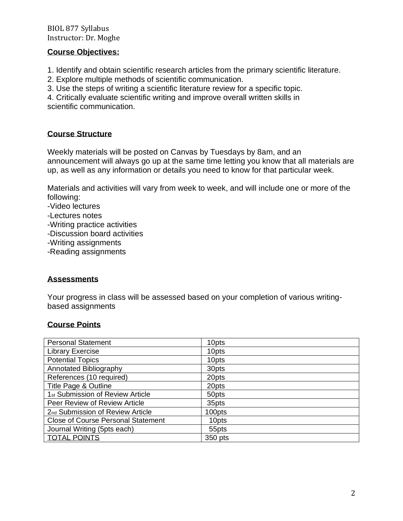## BIOL 877 Syllabus Instructor: Dr. Moghe

## **Course Objectives:**

1. Identify and obtain scientific research articles from the primary scientific literature.

2. Explore multiple methods of scientific communication.

3. Use the steps of writing a scientific literature review for a specific topic.

4. Critically evaluate scientific writing and improve overall written skills in scientific communication.

## **Course Structure**

Weekly materials will be posted on Canvas by Tuesdays by 8am, and an announcement will always go up at the same time letting you know that all materials are up, as well as any information or details you need to know for that particular week.

Materials and activities will vary from week to week, and will include one or more of the following:

- -Video lectures
- -Lectures notes
- -Writing practice activities
- -Discussion board activities
- -Writing assignments
- -Reading assignments

## **Assessments**

Your progress in class will be assessed based on your completion of various writingbased assignments

## **Course Points**

| <b>Personal Statement</b>                    | 10pts   |
|----------------------------------------------|---------|
| <b>Library Exercise</b>                      | 10pts   |
| <b>Potential Topics</b>                      | 10pts   |
| Annotated Bibliography                       | 30pts   |
| References (10 required)                     | 20pts   |
| Title Page & Outline                         | 20pts   |
| 1 <sub>st</sub> Submission of Review Article | 50pts   |
| Peer Review of Review Article                | 35pts   |
| 2nd Submission of Review Article             | 100pts  |
| <b>Close of Course Personal Statement</b>    | 10pts   |
| Journal Writing (5pts each)                  | 55pts   |
| <b>TOTAL POINTS</b>                          | 350 pts |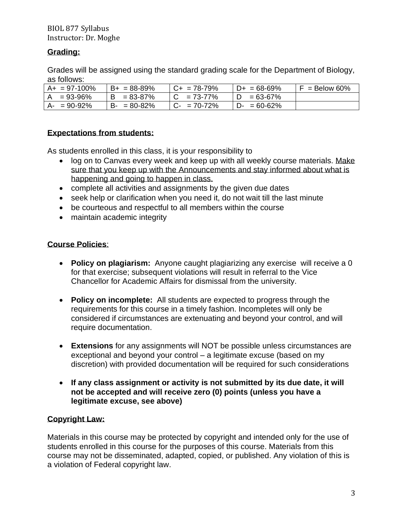## BIOL 877 Syllabus Instructor: Dr. Moghe

# **Grading:**

Grades will be assigned using the standard grading scale for the Department of Biology, as follows:

| $A+ = 97-100%$ | $B+ = 88-89%$   | $ C+ = 78-79%$ | $D+ = 68-69%$      | $F =$ Below 60% |
|----------------|-----------------|----------------|--------------------|-----------------|
| $= 93 - 96%$   | $B = 83 - 87%$  | $C = 73-77%$   | $\degree$ = 63-67% |                 |
| $A- = 90-92%$  | $B - 80 - 82\%$ | $C- = 70-72%$  | $D - 60 - 62%$     |                 |

## **Expectations from students:**

As students enrolled in this class, it is your responsibility to

- log on to Canvas every week and keep up with all weekly course materials. Make sure that you keep up with the Announcements and stay informed about what is happening and going to happen in class.
- complete all activities and assignments by the given due dates
- seek help or clarification when you need it, do not wait till the last minute
- be courteous and respectful to all members within the course
- maintain academic integrity

## **Course Policies**:

- **Policy on plagiarism:** Anyone caught plagiarizing any exercise will receive a 0 for that exercise; subsequent violations will result in referral to the Vice Chancellor for Academic Affairs for dismissal from the university.
- **Policy on incomplete:** All students are expected to progress through the requirements for this course in a timely fashion. Incompletes will only be considered if circumstances are extenuating and beyond your control, and will require documentation.
- **Extensions** for any assignments will NOT be possible unless circumstances are exceptional and beyond your control – a legitimate excuse (based on my discretion) with provided documentation will be required for such considerations
- **If any class assignment or activity is not submitted by its due date, it will not be accepted and will receive zero (0) points (unless you have a legitimate excuse, see above)**

# **Copyright Law:**

Materials in this course may be protected by copyright and intended only for the use of students enrolled in this course for the purposes of this course. Materials from this course may not be disseminated, adapted, copied, or published. Any violation of this is a violation of Federal copyright law.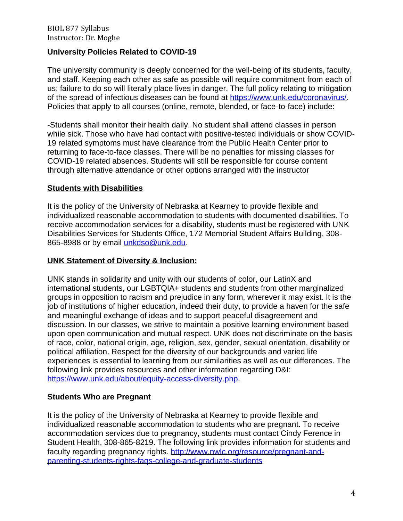## **University Policies Related to COVID-19**

The university community is deeply concerned for the well-being of its students, faculty, and staff. Keeping each other as safe as possible will require commitment from each of us; failure to do so will literally place lives in danger. The full policy relating to mitigation of the spread of infectious diseases can be found at [https://www.unk.edu/coronavirus/.](https://www.unk.edu/coronavirus/) Policies that apply to all courses (online, remote, blended, or face-to-face) include:

-Students shall monitor their health daily. No student shall attend classes in person while sick. Those who have had contact with positive-tested individuals or show COVID-19 related symptoms must have clearance from the Public Health Center prior to returning to face-to-face classes. There will be no penalties for missing classes for COVID-19 related absences. Students will still be responsible for course content through alternative attendance or other options arranged with the instructor

## **Students with Disabilities**

It is the policy of the University of Nebraska at Kearney to provide flexible and individualized reasonable accommodation to students with documented disabilities. To receive accommodation services for a disability, students must be registered with UNK Disabilities Services for Students Office, 172 Memorial Student Affairs Building, 308 865-8988 or by email [unkdso@unk.edu.](mailto:unkdso@unk.edu)

## **UNK Statement of Diversity & Inclusion:**

UNK stands in solidarity and unity with our students of color, our LatinX and international students, our LGBTQIA+ students and students from other marginalized groups in opposition to racism and prejudice in any form, wherever it may exist. It is the job of institutions of higher education, indeed their duty, to provide a haven for the safe and meaningful exchange of ideas and to support peaceful disagreement and discussion. In our classes, we strive to maintain a positive learning environment based upon open communication and mutual respect. UNK does not discriminate on the basis of race, color, national origin, age, religion, sex, gender, sexual orientation, disability or political affiliation. Respect for the diversity of our backgrounds and varied life experiences is essential to learning from our similarities as well as our differences. The following link provides resources and other information regarding D&I: [https://www.unk.edu/about/equity-access-diversity.php.](https://www.unk.edu/about/equity-access-diversity.php)

## **Students Who are Pregnant**

It is the policy of the University of Nebraska at Kearney to provide flexible and individualized reasonable accommodation to students who are pregnant. To receive accommodation services due to pregnancy, students must contact Cindy Ference in Student Health, 308-865-8219. The following link provides information for students and faculty regarding pregnancy rights. [http://www.nwlc.org/resource/pregnant-and](https://urldefense.proofpoint.com/v2/url?u=http-3A__www.nwlc.org_resource_pregnant-2Dand-2Dparenting-2Dstudents-2Drights-2Dfaqs-2Dcollege-2Dand-2Dgraduate-2Dstudents&d=DwMFAg&c=Cu5g146wZdoqVuKpTNsYHeFX_rg6kWhlkLF8Eft-wwo&r=BJkIhAaMtWY7PlqIhIOyVw&m=RgBL3s2VNHfvD5ReMK2q_PhwYU8dbEt1vxs1BO4WkpQ&s=MmB91XAzaW-E7UPMXPGx9tWJQbTWJYyYzM8gLjhEzQ0&e=)[parenting-students-rights-faqs-college-and-graduate-students](https://urldefense.proofpoint.com/v2/url?u=http-3A__www.nwlc.org_resource_pregnant-2Dand-2Dparenting-2Dstudents-2Drights-2Dfaqs-2Dcollege-2Dand-2Dgraduate-2Dstudents&d=DwMFAg&c=Cu5g146wZdoqVuKpTNsYHeFX_rg6kWhlkLF8Eft-wwo&r=BJkIhAaMtWY7PlqIhIOyVw&m=RgBL3s2VNHfvD5ReMK2q_PhwYU8dbEt1vxs1BO4WkpQ&s=MmB91XAzaW-E7UPMXPGx9tWJQbTWJYyYzM8gLjhEzQ0&e=)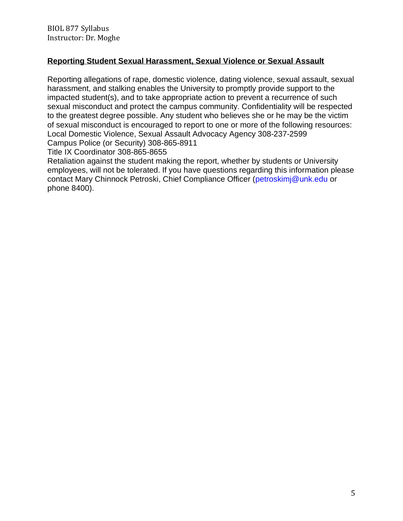# **Reporting Student Sexual Harassment, Sexual Violence or Sexual Assault**

Reporting allegations of rape, domestic violence, dating violence, sexual assault, sexual harassment, and stalking enables the University to promptly provide support to the impacted student(s), and to take appropriate action to prevent a recurrence of such sexual misconduct and protect the campus community. Confidentiality will be respected to the greatest degree possible. Any student who believes she or he may be the victim of sexual misconduct is encouraged to report to one or more of the following resources: Local Domestic Violence, Sexual Assault Advocacy Agency 308-237-2599 Campus Police (or Security) 308-865-8911

Title IX Coordinator 308-865-8655

Retaliation against the student making the report, whether by students or University employees, will not be tolerated. If you have questions regarding this information please contact Mary Chinnock Petroski, Chief Compliance Officer [\(petroskimj@unk.edu](mailto:petroskimj@unk.edu) or phone 8400).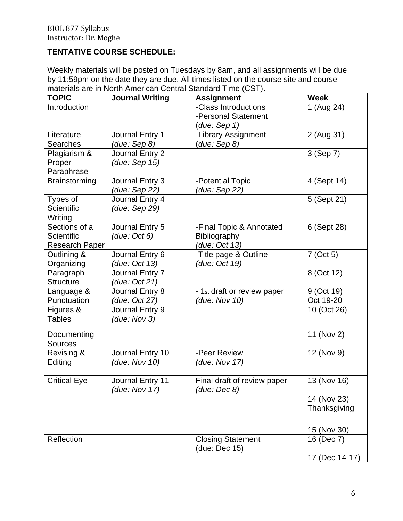# **TENTATIVE COURSE SCHEDULE:**

Weekly materials will be posted on Tuesdays by 8am, and all assignments will be due by 11:59pm on the date they are due. All times listed on the course site and course materials are in North American Central Standard Time (CST).

| <b>TOPIC</b>        | <b>Journal Writing</b> | <b>Assignment</b>           | <b>Week</b>    |
|---------------------|------------------------|-----------------------------|----------------|
| Introduction        |                        | -Class Introductions        | 1 (Aug 24)     |
|                     |                        | -Personal Statement         |                |
|                     |                        | (due: Sep 1)                |                |
| Literature          | Journal Entry 1        | -Library Assignment         | 2 (Aug 31)     |
| <b>Searches</b>     | (due: Sep 8)           | (due: Sep 8)                |                |
| Plagiarism &        | Journal Entry 2        |                             | 3 (Sep 7)      |
| Proper              | (due: Sep 15)          |                             |                |
| Paraphrase          |                        |                             |                |
| Brainstorming       | Journal Entry 3        | -Potential Topic            | 4 (Sept 14)    |
|                     | (due: Sep 22)          | (due: <u>Sep 22)</u>        |                |
| Types of            | Journal Entry 4        |                             | 5 (Sept 21)    |
| <b>Scientific</b>   | (due: Sep 29)          |                             |                |
| Writing             |                        |                             |                |
| Sections of a       | Journal Entry 5        | -Final Topic & Annotated    | 6 (Sept 28)    |
| Scientific          | (due: Oct 6)           | <b>Bibliography</b>         |                |
| Research Paper      |                        | (due: Oct 13)               |                |
| Outlining &         | Journal Entry 6        | -Title page & Outline       | 7 (Oct 5)      |
| Organizing          | (due: Oct 13)          | (due: Oct 19)               |                |
| Paragraph           | Journal Entry 7        |                             | 8 (Oct 12)     |
| <b>Structure</b>    | (due: Oct 21)          |                             |                |
| Language &          | Journal Entry 8        | - 1st draft or review paper | 9 (Oct 19)     |
| Punctuation         | (due: Oct 27)          | (due: Nov 10)               | Oct 19-20      |
| Figures &           | Journal Entry 9        |                             | 10 (Oct 26)    |
| <b>Tables</b>       | (due: Nov 3)           |                             |                |
| Documenting         |                        |                             | 11 (Nov 2)     |
| <b>Sources</b>      |                        |                             |                |
| Revising &          | Journal Entry 10       | -Peer Review                | 12 (Nov 9)     |
| Editing             | (due: Nov 10)          | (due: Nov 17)               |                |
|                     |                        |                             |                |
| <b>Critical Eye</b> | Journal Entry 11       | Final draft of review paper | 13 (Nov 16)    |
|                     | (due: Nov 17)          | (due: Dec 8)                |                |
|                     |                        |                             | 14 (Nov 23)    |
|                     |                        |                             | Thanksgiving   |
|                     |                        |                             |                |
|                     |                        |                             | 15 (Nov 30)    |
| Reflection          |                        | <b>Closing Statement</b>    | 16 (Dec 7)     |
|                     |                        | (due: Dec 15)               |                |
|                     |                        |                             | 17 (Dec 14-17) |